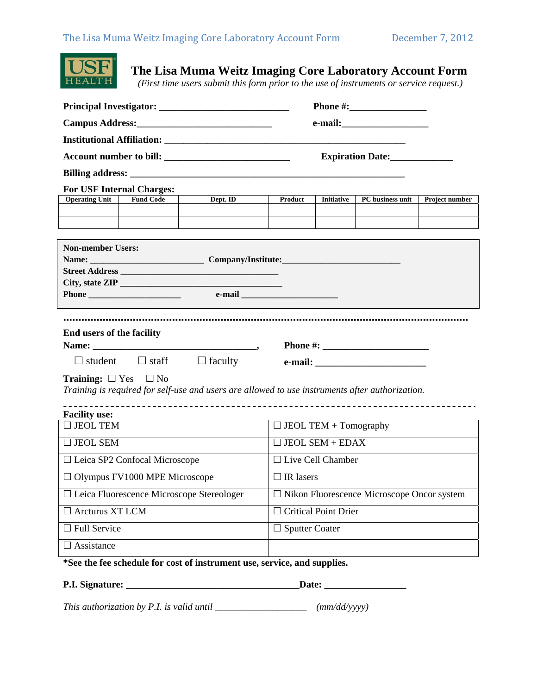

**The Lisa Muma Weitz Imaging Core Laboratory Account Form** 

 *(First time users submit this form prior to the use of instruments or service request.)* 

|                                                                                                 | Expiration Date:                 |          |                  |                                                   |                  |                |  |  |
|-------------------------------------------------------------------------------------------------|----------------------------------|----------|------------------|---------------------------------------------------|------------------|----------------|--|--|
|                                                                                                 |                                  |          |                  |                                                   |                  |                |  |  |
|                                                                                                 | <b>For USF Internal Charges:</b> |          |                  |                                                   |                  |                |  |  |
| <b>Operating Unit</b>                                                                           | <b>Fund Code</b>                 | Dept. ID | Product          | <b>Initiative</b>                                 | PC business unit | Project number |  |  |
|                                                                                                 |                                  |          |                  |                                                   |                  |                |  |  |
|                                                                                                 |                                  |          |                  |                                                   |                  |                |  |  |
| <b>Non-member Users:</b>                                                                        |                                  |          |                  |                                                   |                  |                |  |  |
|                                                                                                 |                                  |          |                  |                                                   |                  |                |  |  |
|                                                                                                 |                                  |          |                  |                                                   |                  |                |  |  |
|                                                                                                 |                                  |          |                  |                                                   |                  |                |  |  |
|                                                                                                 |                                  |          |                  |                                                   |                  |                |  |  |
| End users of the facility                                                                       |                                  |          |                  |                                                   |                  |                |  |  |
|                                                                                                 |                                  |          |                  |                                                   |                  |                |  |  |
| $\Box$ student $\Box$ staff $\Box$ faculty                                                      |                                  |          |                  |                                                   |                  |                |  |  |
| <b>Training:</b> $\Box$ Yes $\Box$ No                                                           |                                  |          |                  |                                                   |                  |                |  |  |
| Training is required for self-use and users are allowed to use instruments after authorization. |                                  |          |                  |                                                   |                  |                |  |  |
| <b>Facility use:</b>                                                                            |                                  |          |                  |                                                   |                  |                |  |  |
| $\Box$ JEOL TEM                                                                                 |                                  |          |                  | $\Box$ JEOL TEM + Tomography                      |                  |                |  |  |
| $\Box$ JEOL SEM                                                                                 | $\Box$ JEOL SEM + EDAX           |          |                  |                                                   |                  |                |  |  |
| $\Box$ Leica SP2 Confocal Microscope                                                            |                                  |          |                  | $\Box$ Live Cell Chamber                          |                  |                |  |  |
| $\Box$ Olympus FV1000 MPE Microscope                                                            |                                  |          | $\Box$ IR lasers |                                                   |                  |                |  |  |
| □ Leica Fluorescence Microscope Stereologer                                                     |                                  |          |                  | $\Box$ Nikon Fluorescence Microscope Oncor system |                  |                |  |  |
| $\Box$ Arcturus XT LCM                                                                          |                                  |          |                  | $\Box$ Critical Point Drier                       |                  |                |  |  |
| $\Box$ Full Service                                                                             |                                  |          |                  | $\Box$ Sputter Coater                             |                  |                |  |  |
| $\Box$ Assistance                                                                               |                                  |          |                  |                                                   |                  |                |  |  |
| *See the fee schedule for cost of instrument use, service, and supplies.                        |                                  |          |                  |                                                   |                  |                |  |  |
| P.I. Signature:<br>Date:                                                                        |                                  |          |                  |                                                   |                  |                |  |  |

*This authorization by P.I. is valid until \_\_\_\_\_\_\_\_\_\_\_\_\_\_\_\_\_\_\_ (mm/dd/yyyy)*